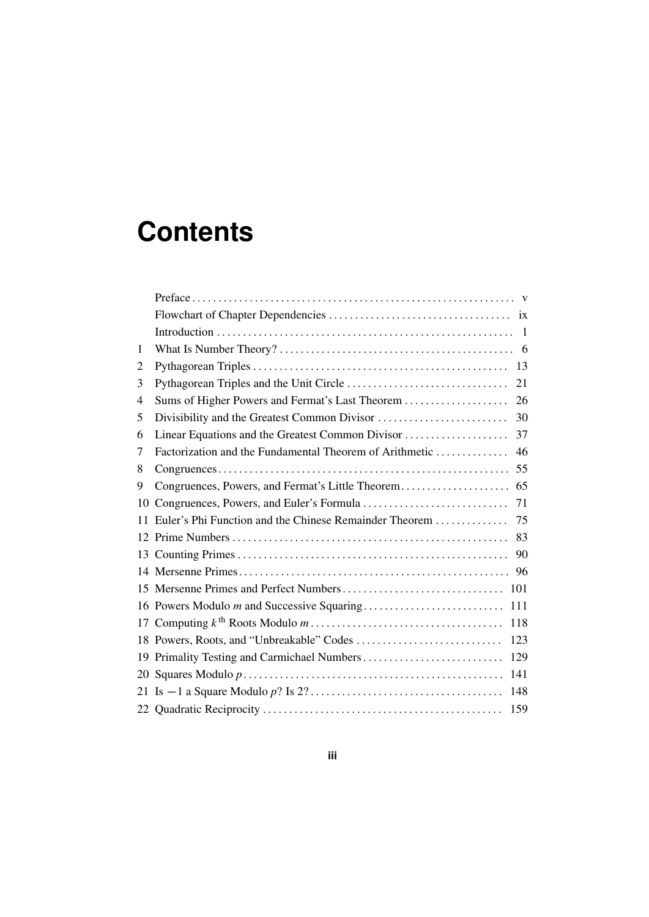# **Contents**

| 1  |     |
|----|-----|
| 2  |     |
| 3  | 21  |
| 4  |     |
| 5  |     |
| 6  |     |
| 7  |     |
| 8  |     |
| 9  |     |
| 10 |     |
|    |     |
|    |     |
|    | 90  |
|    |     |
|    |     |
|    | 111 |
|    | 118 |
|    | 123 |
|    | 129 |
|    | 141 |
|    | 148 |
|    | 159 |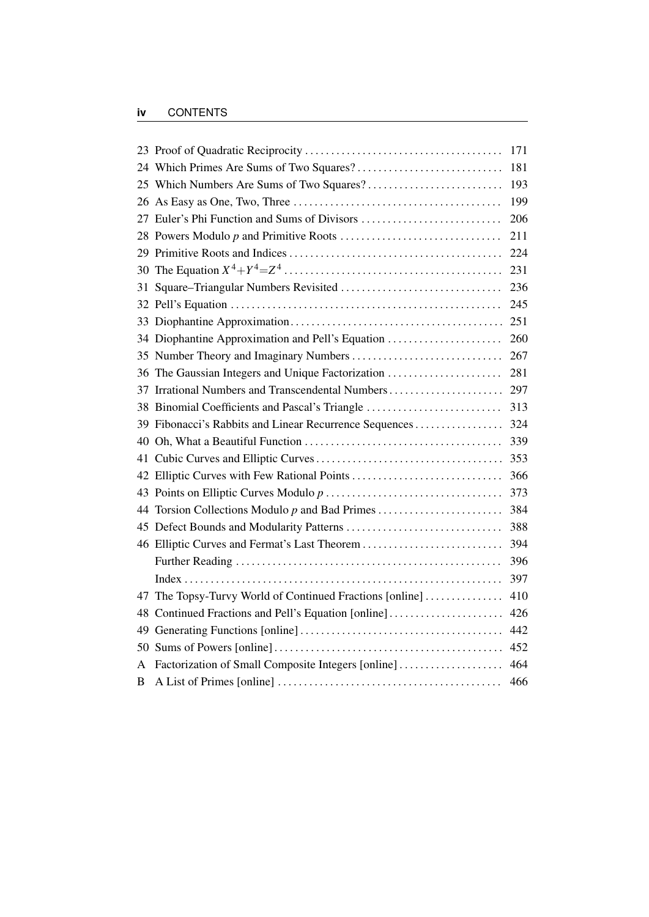|    |                                                        | 171 |
|----|--------------------------------------------------------|-----|
|    |                                                        | 181 |
|    |                                                        | 193 |
|    |                                                        | 199 |
|    |                                                        | 206 |
|    |                                                        | 211 |
|    |                                                        | 224 |
|    |                                                        | 231 |
| 31 |                                                        | 236 |
|    |                                                        | 245 |
|    |                                                        | 251 |
|    | 34 Diophantine Approximation and Pell's Equation       | 260 |
|    |                                                        | 267 |
|    | 36 The Gaussian Integers and Unique Factorization      | 281 |
|    | 37 Irrational Numbers and Transcendental Numbers       | 297 |
|    | 38 Binomial Coefficients and Pascal's Triangle         | 313 |
|    | 39 Fibonacci's Rabbits and Linear Recurrence Sequences | 324 |
|    |                                                        | 339 |
|    |                                                        | 353 |
|    |                                                        | 366 |
|    |                                                        | 373 |
|    | 44 Torsion Collections Modulo p and Bad Primes         | 384 |
|    |                                                        | 388 |
|    | 46 Elliptic Curves and Fermat's Last Theorem           | 394 |
|    |                                                        | 396 |
|    |                                                        | 397 |
| 47 | The Topsy-Turvy World of Continued Fractions [online]  | 410 |
| 48 | Continued Fractions and Pell's Equation [online]       | 426 |
| 49 |                                                        | 442 |
|    |                                                        | 452 |
| A  | Factorization of Small Composite Integers [online]     | 464 |
| B  |                                                        | 466 |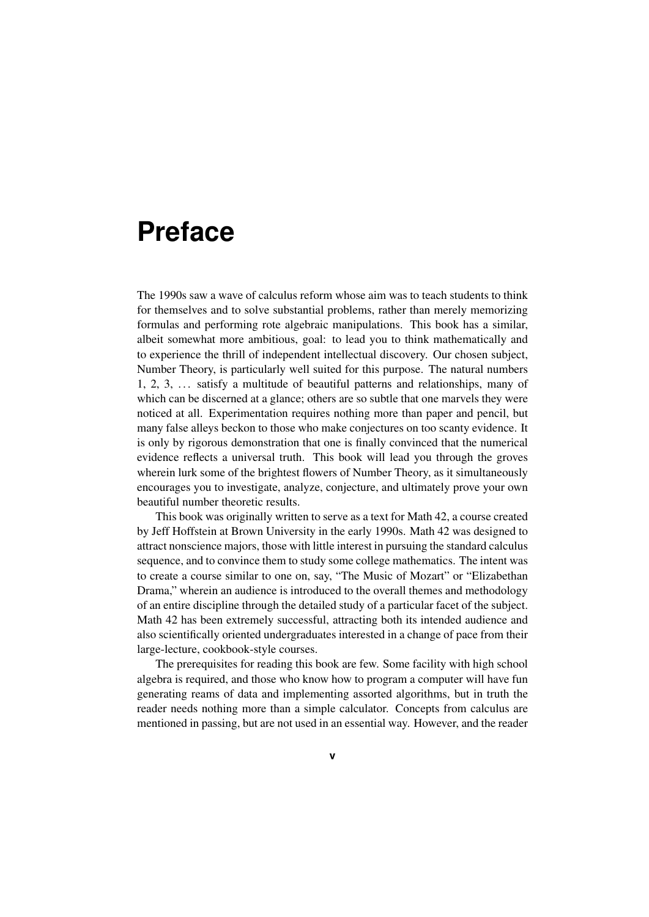### **Preface**

The 1990s saw a wave of calculus reform whose aim was to teach students to think for themselves and to solve substantial problems, rather than merely memorizing formulas and performing rote algebraic manipulations. This book has a similar, albeit somewhat more ambitious, goal: to lead you to think mathematically and to experience the thrill of independent intellectual discovery. Our chosen subject, Number Theory, is particularly well suited for this purpose. The natural numbers 1, 2, 3, ... satisfy a multitude of beautiful patterns and relationships, many of which can be discerned at a glance; others are so subtle that one marvels they were noticed at all. Experimentation requires nothing more than paper and pencil, but many false alleys beckon to those who make conjectures on too scanty evidence. It is only by rigorous demonstration that one is finally convinced that the numerical evidence reflects a universal truth. This book will lead you through the groves wherein lurk some of the brightest flowers of Number Theory, as it simultaneously encourages you to investigate, analyze, conjecture, and ultimately prove your own beautiful number theoretic results.

This book was originally written to serve as a text for Math 42, a course created by Jeff Hoffstein at Brown University in the early 1990s. Math 42 was designed to attract nonscience majors, those with little interest in pursuing the standard calculus sequence, and to convince them to study some college mathematics. The intent was to create a course similar to one on, say, "The Music of Mozart" or "Elizabethan Drama," wherein an audience is introduced to the overall themes and methodology of an entire discipline through the detailed study of a particular facet of the subject. Math 42 has been extremely successful, attracting both its intended audience and also scientifically oriented undergraduates interested in a change of pace from their large-lecture, cookbook-style courses.

The prerequisites for reading this book are few. Some facility with high school algebra is required, and those who know how to program a computer will have fun generating reams of data and implementing assorted algorithms, but in truth the reader needs nothing more than a simple calculator. Concepts from calculus are mentioned in passing, but are not used in an essential way. However, and the reader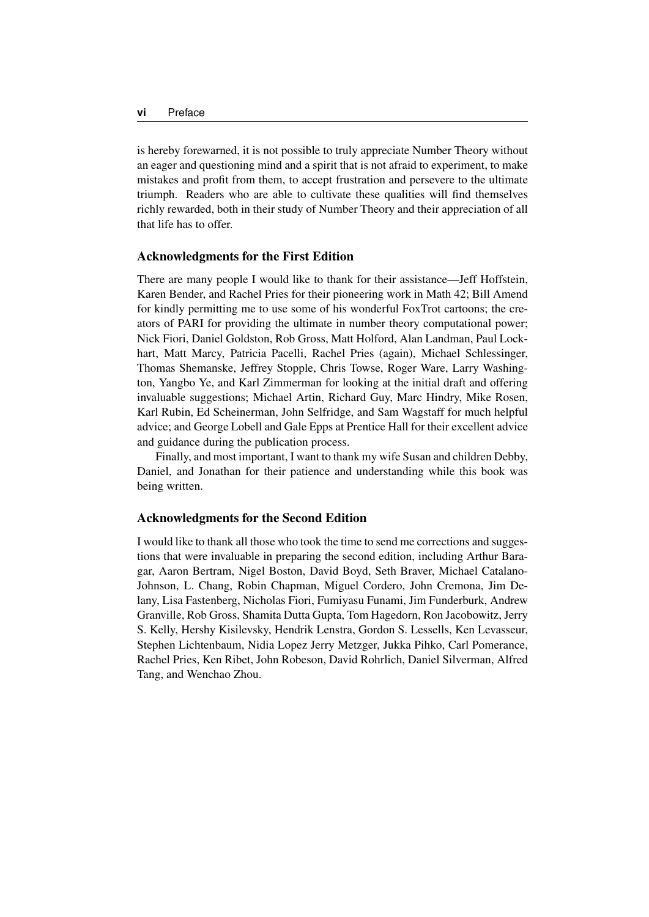is hereby forewarned, it is not possible to truly appreciate Number Theory without an eager and questioning mind and a spirit that is not afraid to experiment, to make mistakes and profit from them, to accept frustration and persevere to the ultimate triumph. Readers who are able to cultivate these qualities will find themselves richly rewarded, both in their study of Number Theory and their appreciation of all that life has to offer.

#### Acknowledgments for the First Edition

There are many people I would like to thank for their assistance—Jeff Hoffstein, Karen Bender, and Rachel Pries for their pioneering work in Math 42; Bill Amend for kindly permitting me to use some of his wonderful FoxTrot cartoons; the creators of PARI for providing the ultimate in number theory computational power; Nick Fiori, Daniel Goldston, Rob Gross, Matt Holford, Alan Landman, Paul Lockhart, Matt Marcy, Patricia Pacelli, Rachel Pries (again), Michael Schlessinger, Thomas Shemanske, Jeffrey Stopple, Chris Towse, Roger Ware, Larry Washington, Yangbo Ye, and Karl Zimmerman for looking at the initial draft and offering invaluable suggestions; Michael Artin, Richard Guy, Marc Hindry, Mike Rosen, Karl Rubin, Ed Scheinerman, John Selfridge, and Sam Wagstaff for much helpful advice; and George Lobell and Gale Epps at Prentice Hall for their excellent advice and guidance during the publication process.

Finally, and most important, I want to thank my wife Susan and children Debby, Daniel, and Jonathan for their patience and understanding while this book was being written.

#### Acknowledgments for the Second Edition

I would like to thank all those who took the time to send me corrections and suggestions that were invaluable in preparing the second edition, including Arthur Baragar, Aaron Bertram, Nigel Boston, David Boyd, Seth Braver, Michael Catalano-Johnson, L. Chang, Robin Chapman, Miguel Cordero, John Cremona, Jim Delany, Lisa Fastenberg, Nicholas Fiori, Fumiyasu Funami, Jim Funderburk, Andrew Granville, Rob Gross, Shamita Dutta Gupta, Tom Hagedorn, Ron Jacobowitz, Jerry S. Kelly, Hershy Kisilevsky, Hendrik Lenstra, Gordon S. Lessells, Ken Levasseur, Stephen Lichtenbaum, Nidia Lopez Jerry Metzger, Jukka Pihko, Carl Pomerance, Rachel Pries, Ken Ribet, John Robeson, David Rohrlich, Daniel Silverman, Alfred Tang, and Wenchao Zhou.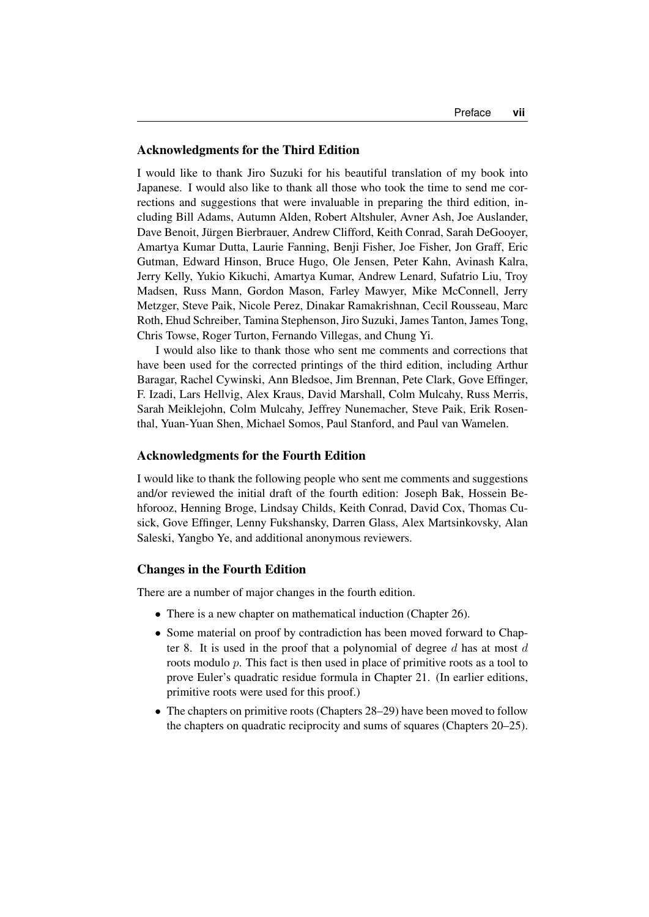#### Acknowledgments for the Third Edition

I would like to thank Jiro Suzuki for his beautiful translation of my book into Japanese. I would also like to thank all those who took the time to send me corrections and suggestions that were invaluable in preparing the third edition, including Bill Adams, Autumn Alden, Robert Altshuler, Avner Ash, Joe Auslander, Dave Benoit, Jürgen Bierbrauer, Andrew Clifford, Keith Conrad, Sarah DeGooyer, Amartya Kumar Dutta, Laurie Fanning, Benji Fisher, Joe Fisher, Jon Graff, Eric Gutman, Edward Hinson, Bruce Hugo, Ole Jensen, Peter Kahn, Avinash Kalra, Jerry Kelly, Yukio Kikuchi, Amartya Kumar, Andrew Lenard, Sufatrio Liu, Troy Madsen, Russ Mann, Gordon Mason, Farley Mawyer, Mike McConnell, Jerry Metzger, Steve Paik, Nicole Perez, Dinakar Ramakrishnan, Cecil Rousseau, Marc Roth, Ehud Schreiber, Tamina Stephenson, Jiro Suzuki, James Tanton, James Tong, Chris Towse, Roger Turton, Fernando Villegas, and Chung Yi.

I would also like to thank those who sent me comments and corrections that have been used for the corrected printings of the third edition, including Arthur Baragar, Rachel Cywinski, Ann Bledsoe, Jim Brennan, Pete Clark, Gove Effinger, F. Izadi, Lars Hellvig, Alex Kraus, David Marshall, Colm Mulcahy, Russ Merris, Sarah Meiklejohn, Colm Mulcahy, Jeffrey Nunemacher, Steve Paik, Erik Rosenthal, Yuan-Yuan Shen, Michael Somos, Paul Stanford, and Paul van Wamelen.

#### Acknowledgments for the Fourth Edition

I would like to thank the following people who sent me comments and suggestions and/or reviewed the initial draft of the fourth edition: Joseph Bak, Hossein Behforooz, Henning Broge, Lindsay Childs, Keith Conrad, David Cox, Thomas Cusick, Gove Effinger, Lenny Fukshansky, Darren Glass, Alex Martsinkovsky, Alan Saleski, Yangbo Ye, and additional anonymous reviewers.

#### Changes in the Fourth Edition

There are a number of major changes in the fourth edition.

- There is a new chapter on mathematical induction (Chapter 26).
- Some material on proof by contradiction has been moved forward to Chapter 8. It is used in the proof that a polynomial of degree *d* has at most *d* roots modulo *p*. This fact is then used in place of primitive roots as a tool to prove Euler's quadratic residue formula in Chapter 21. (In earlier editions, primitive roots were used for this proof.)
- The chapters on primitive roots (Chapters 28–29) have been moved to follow the chapters on quadratic reciprocity and sums of squares (Chapters 20–25).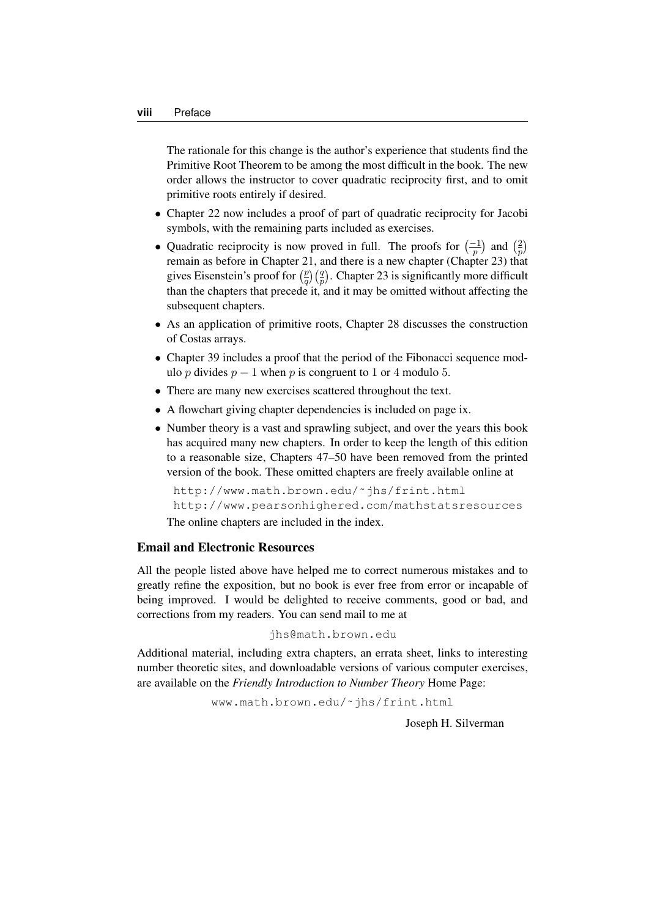The rationale for this change is the author's experience that students find the Primitive Root Theorem to be among the most difficult in the book. The new order allows the instructor to cover quadratic reciprocity first, and to omit primitive roots entirely if desired.

- Chapter 22 now includes a proof of part of quadratic reciprocity for Jacobi symbols, with the remaining parts included as exercises.
- Quadratic reciprocity is now proved in full. The proofs for  $\left(\frac{-1}{p}\right)$  and  $\left(\frac{2}{p}\right)$  $\frac{2}{p}$ remain as before in Chapter 21, and there is a new chapter (Chapter 23) that gives Eisenstein's proof for  $\left(\frac{p}{q}\right)$  $\binom{p}{q}$  ( $\binom{q}{p}$ ). Chapter 23 is significantly more difficult than the chapters that precede it, and it may be omitted without affecting the subsequent chapters.
- As an application of primitive roots, Chapter 28 discusses the construction of Costas arrays.
- Chapter 39 includes a proof that the period of the Fibonacci sequence modulo *p* divides  $p − 1$  when *p* is congruent to 1 or 4 modulo 5.
- There are many new exercises scattered throughout the text.
- A flowchart giving chapter dependencies is included on page ix.
- Number theory is a vast and sprawling subject, and over the years this book has acquired many new chapters. In order to keep the length of this edition to a reasonable size, Chapters 47–50 have been removed from the printed version of the book. These omitted chapters are freely available online at

```
http://www.math.brown.edu/˜jhs/frint.html
 http://www.pearsonhighered.com/mathstatsresources
The online chapters are included in the index.
```
#### Email and Electronic Resources

All the people listed above have helped me to correct numerous mistakes and to greatly refine the exposition, but no book is ever free from error or incapable of being improved. I would be delighted to receive comments, good or bad, and corrections from my readers. You can send mail to me at

jhs@math.brown.edu

Additional material, including extra chapters, an errata sheet, links to interesting number theoretic sites, and downloadable versions of various computer exercises, are available on the *Friendly Introduction to Number Theory* Home Page:

www.math.brown.edu/˜jhs/frint.html

Joseph H. Silverman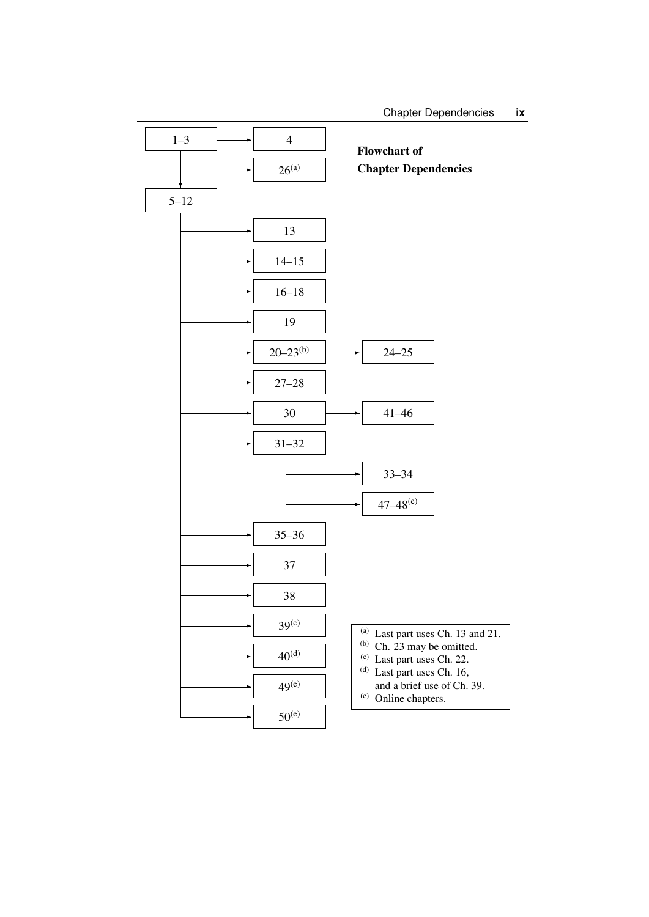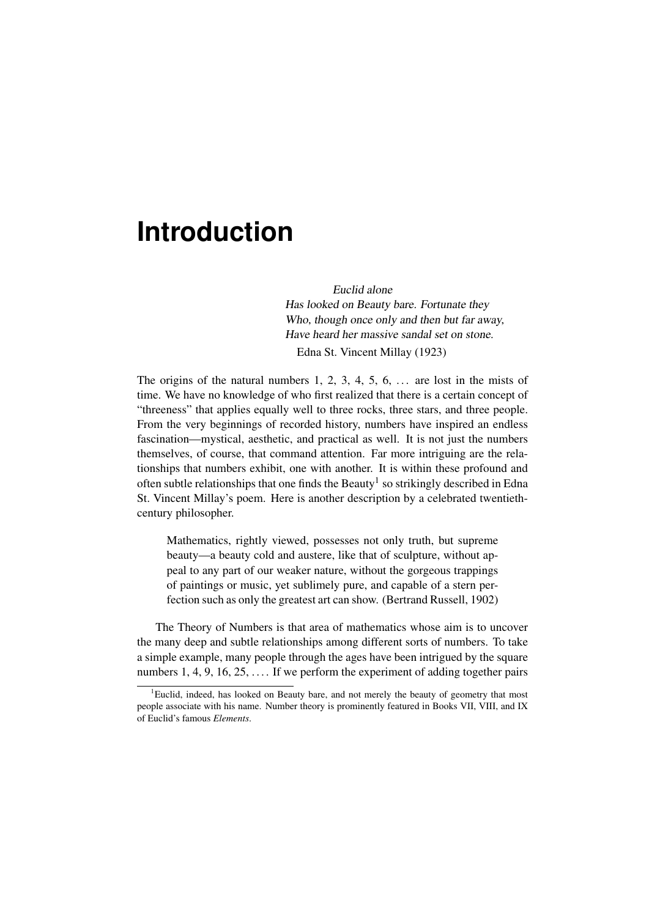## **Introduction**

Euclid alone Has looked on Beauty bare. Fortunate they Who, though once only and then but far away, Have heard her massive sandal set on stone. Edna St. Vincent Millay (1923)

The origins of the natural numbers 1, 2, 3, 4, 5, 6,  $\ldots$  are lost in the mists of time. We have no knowledge of who first realized that there is a certain concept of "threeness" that applies equally well to three rocks, three stars, and three people. From the very beginnings of recorded history, numbers have inspired an endless fascination—mystical, aesthetic, and practical as well. It is not just the numbers themselves, of course, that command attention. Far more intriguing are the relationships that numbers exhibit, one with another. It is within these profound and often subtle relationships that one finds the Beauty<sup>1</sup> so strikingly described in Edna St. Vincent Millay's poem. Here is another description by a celebrated twentiethcentury philosopher.

Mathematics, rightly viewed, possesses not only truth, but supreme beauty—a beauty cold and austere, like that of sculpture, without appeal to any part of our weaker nature, without the gorgeous trappings of paintings or music, yet sublimely pure, and capable of a stern perfection such as only the greatest art can show. (Bertrand Russell, 1902)

The Theory of Numbers is that area of mathematics whose aim is to uncover the many deep and subtle relationships among different sorts of numbers. To take a simple example, many people through the ages have been intrigued by the square numbers 1, 4, 9, 16, 25,  $\dots$  If we perform the experiment of adding together pairs

<sup>&</sup>lt;sup>1</sup>Euclid, indeed, has looked on Beauty bare, and not merely the beauty of geometry that most people associate with his name. Number theory is prominently featured in Books VII, VIII, and IX of Euclid's famous *Elements*.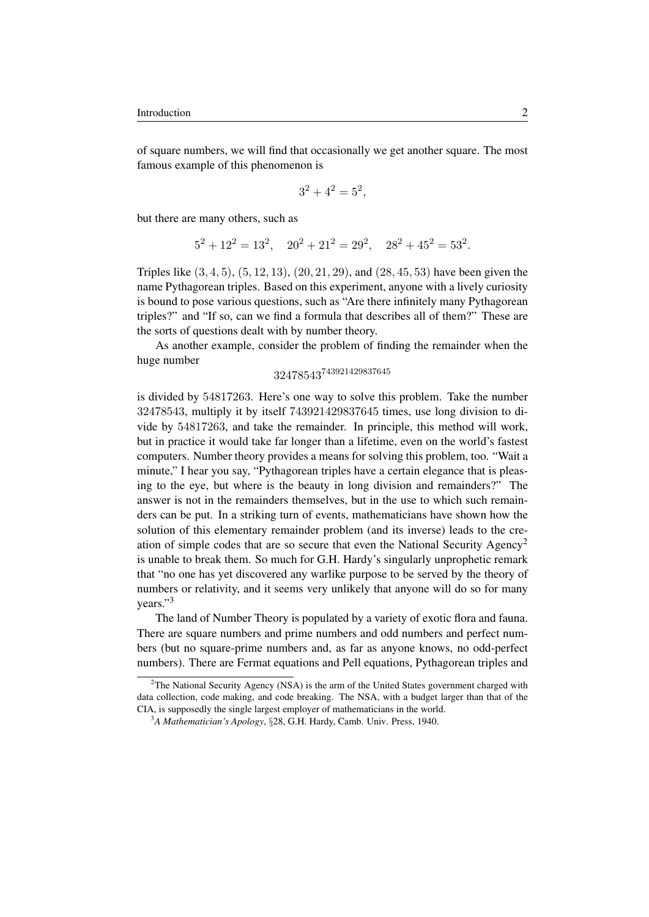of square numbers, we will find that occasionally we get another square. The most famous example of this phenomenon is

$$
3^2 + 4^2 = 5^2,
$$

but there are many others, such as

$$
5^2 + 12^2 = 13^2
$$
,  $20^2 + 21^2 = 29^2$ ,  $28^2 + 45^2 = 53^2$ .

Triples like (3*,* 4*,* 5), (5*,* 12*,* 13), (20*,* 21*,* 29), and (28*,* 45*,* 53) have been given the name Pythagorean triples. Based on this experiment, anyone with a lively curiosity is bound to pose various questions, such as "Are there infinitely many Pythagorean triples?" and "If so, can we find a formula that describes all of them?" These are the sorts of questions dealt with by number theory.

As another example, consider the problem of finding the remainder when the huge number

### 32478543<sup>743921429837645</sup>

is divided by 54817263. Here's one way to solve this problem. Take the number 32478543, multiply it by itself 743921429837645 times, use long division to divide by 54817263, and take the remainder. In principle, this method will work, but in practice it would take far longer than a lifetime, even on the world's fastest computers. Number theory provides a means for solving this problem, too. "Wait a minute," I hear you say, "Pythagorean triples have a certain elegance that is pleasing to the eye, but where is the beauty in long division and remainders?" The answer is not in the remainders themselves, but in the use to which such remainders can be put. In a striking turn of events, mathematicians have shown how the solution of this elementary remainder problem (and its inverse) leads to the creation of simple codes that are so secure that even the National Security Agency<sup>2</sup> is unable to break them. So much for G.H. Hardy's singularly unprophetic remark that "no one has yet discovered any warlike purpose to be served by the theory of numbers or relativity, and it seems very unlikely that anyone will do so for many years."<sup>3</sup>

The land of Number Theory is populated by a variety of exotic flora and fauna. There are square numbers and prime numbers and odd numbers and perfect numbers (but no square-prime numbers and, as far as anyone knows, no odd-perfect numbers). There are Fermat equations and Pell equations, Pythagorean triples and

 $2$ The National Security Agency (NSA) is the arm of the United States government charged with data collection, code making, and code breaking. The NSA, with a budget larger than that of the CIA, is supposedly the single largest employer of mathematicians in the world.

<sup>3</sup>*A Mathematician's Apology*, *§*28, G.H. Hardy, Camb. Univ. Press, 1940.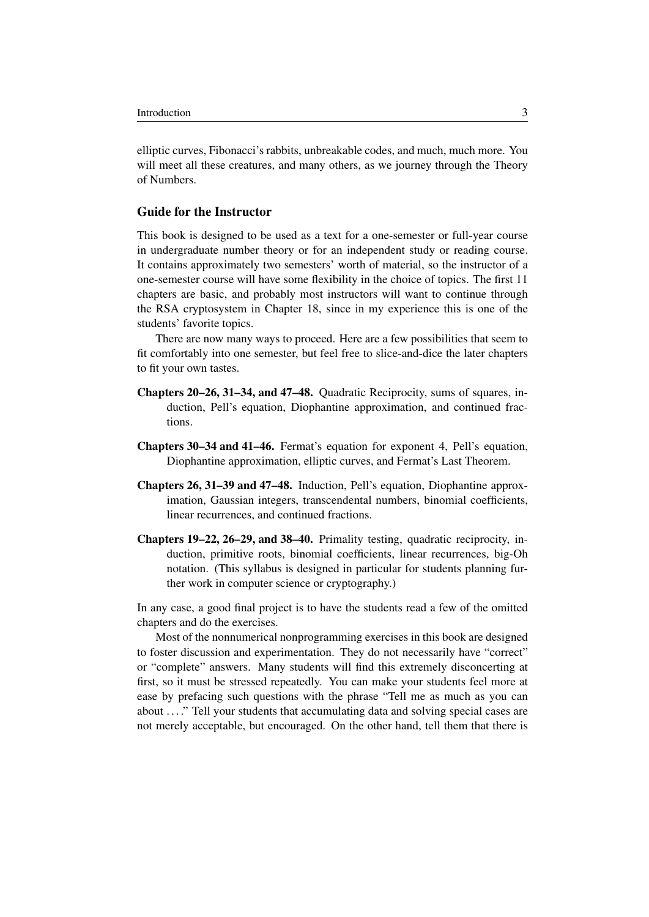elliptic curves, Fibonacci's rabbits, unbreakable codes, and much, much more. You will meet all these creatures, and many others, as we journey through the Theory of Numbers.

#### Guide for the Instructor

This book is designed to be used as a text for a one-semester or full-year course in undergraduate number theory or for an independent study or reading course. It contains approximately two semesters' worth of material, so the instructor of a one-semester course will have some flexibility in the choice of topics. The first 11 chapters are basic, and probably most instructors will want to continue through the RSA cryptosystem in Chapter 18, since in my experience this is one of the students' favorite topics.

There are now many ways to proceed. Here are a few possibilities that seem to fit comfortably into one semester, but feel free to slice-and-dice the later chapters to fit your own tastes.

- Chapters 20–26, 31–34, and 47–48. Quadratic Reciprocity, sums of squares, induction, Pell's equation, Diophantine approximation, and continued fractions.
- Chapters 30–34 and 41–46. Fermat's equation for exponent 4, Pell's equation, Diophantine approximation, elliptic curves, and Fermat's Last Theorem.
- Chapters 26, 31–39 and 47–48. Induction, Pell's equation, Diophantine approximation, Gaussian integers, transcendental numbers, binomial coefficients, linear recurrences, and continued fractions.
- Chapters 19–22, 26–29, and 38–40. Primality testing, quadratic reciprocity, induction, primitive roots, binomial coefficients, linear recurrences, big-Oh notation. (This syllabus is designed in particular for students planning further work in computer science or cryptography.)

In any case, a good final project is to have the students read a few of the omitted chapters and do the exercises.

Most of the nonnumerical nonprogramming exercises in this book are designed to foster discussion and experimentation. They do not necessarily have "correct" or "complete" answers. Many students will find this extremely disconcerting at first, so it must be stressed repeatedly. You can make your students feel more at ease by prefacing such questions with the phrase "Tell me as much as you can about . . . ." Tell your students that accumulating data and solving special cases are not merely acceptable, but encouraged. On the other hand, tell them that there is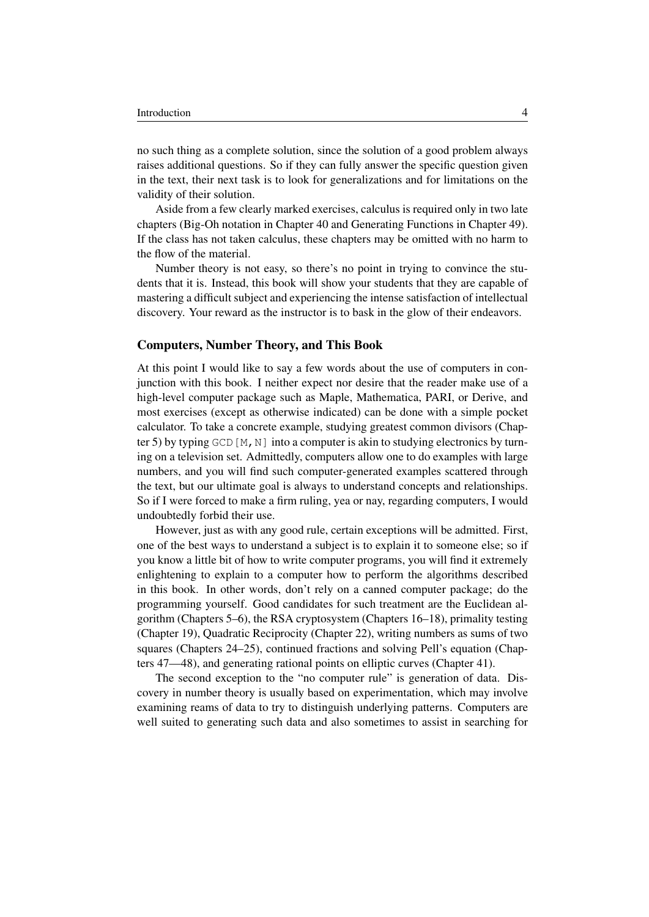no such thing as a complete solution, since the solution of a good problem always raises additional questions. So if they can fully answer the specific question given in the text, their next task is to look for generalizations and for limitations on the validity of their solution.

Aside from a few clearly marked exercises, calculus is required only in two late chapters (Big-Oh notation in Chapter 40 and Generating Functions in Chapter 49). If the class has not taken calculus, these chapters may be omitted with no harm to the flow of the material.

Number theory is not easy, so there's no point in trying to convince the students that it is. Instead, this book will show your students that they are capable of mastering a difficult subject and experiencing the intense satisfaction of intellectual discovery. Your reward as the instructor is to bask in the glow of their endeavors.

#### Computers, Number Theory, and This Book

At this point I would like to say a few words about the use of computers in conjunction with this book. I neither expect nor desire that the reader make use of a high-level computer package such as Maple, Mathematica, PARI, or Derive, and most exercises (except as otherwise indicated) can be done with a simple pocket calculator. To take a concrete example, studying greatest common divisors (Chapter 5) by typing  $GCD[M,N]$  into a computer is akin to studying electronics by turning on a television set. Admittedly, computers allow one to do examples with large numbers, and you will find such computer-generated examples scattered through the text, but our ultimate goal is always to understand concepts and relationships. So if I were forced to make a firm ruling, yea or nay, regarding computers, I would undoubtedly forbid their use.

However, just as with any good rule, certain exceptions will be admitted. First, one of the best ways to understand a subject is to explain it to someone else; so if you know a little bit of how to write computer programs, you will find it extremely enlightening to explain to a computer how to perform the algorithms described in this book. In other words, don't rely on a canned computer package; do the programming yourself. Good candidates for such treatment are the Euclidean algorithm (Chapters 5–6), the RSA cryptosystem (Chapters 16–18), primality testing (Chapter 19), Quadratic Reciprocity (Chapter 22), writing numbers as sums of two squares (Chapters 24–25), continued fractions and solving Pell's equation (Chapters 47—48), and generating rational points on elliptic curves (Chapter 41).

The second exception to the "no computer rule" is generation of data. Discovery in number theory is usually based on experimentation, which may involve examining reams of data to try to distinguish underlying patterns. Computers are well suited to generating such data and also sometimes to assist in searching for